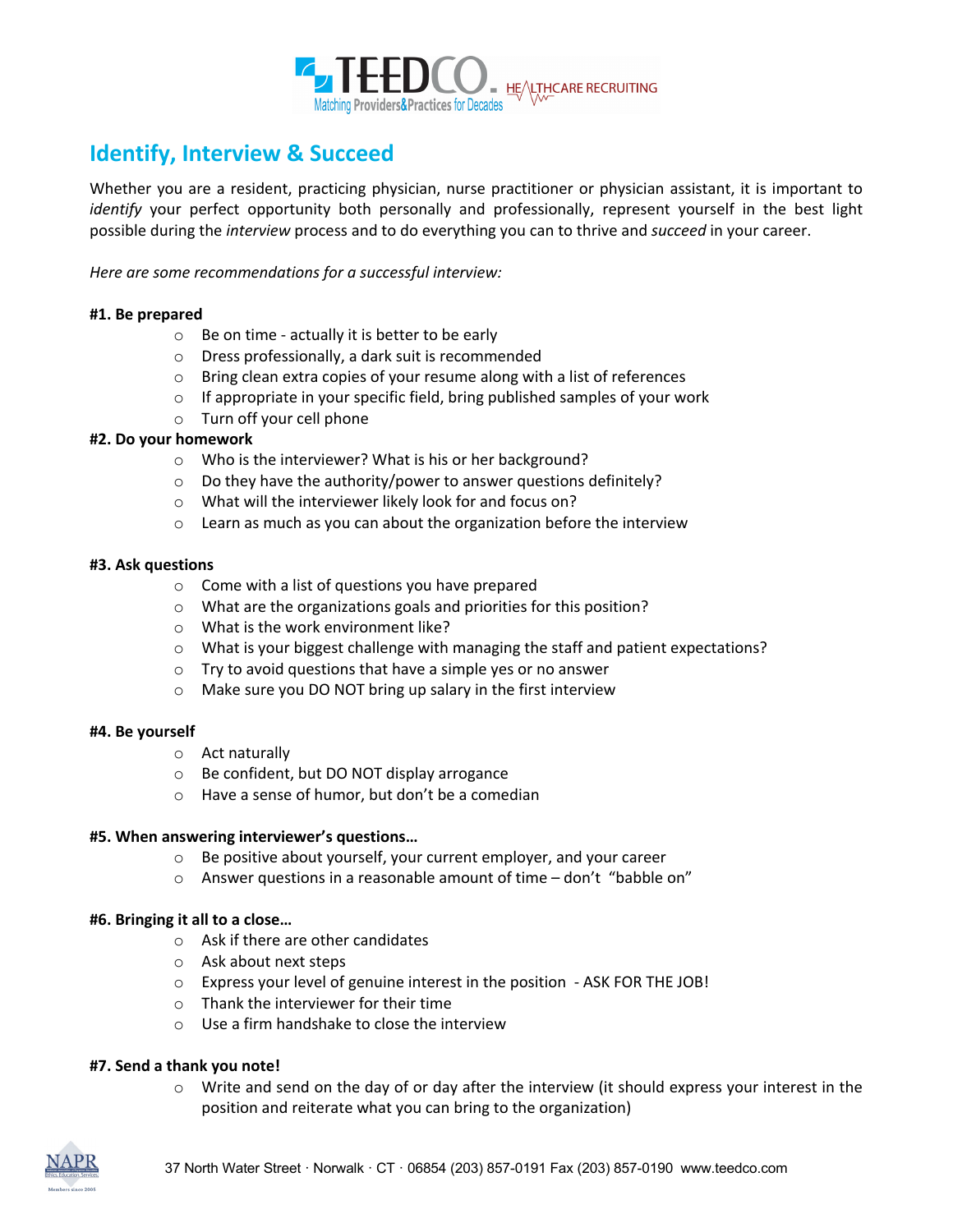

# **Identify, Interview & Succeed**

Whether you are a resident, practicing physician, nurse practitioner or physician assistant, it is important to *identify* your perfect opportunity both personally and professionally, represent yourself in the best light possible during the *interview* process and to do everything you can to thrive and *succeed* in your career.

*Here are some recommendations for a successful interview:* 

#### **#1. Be prepared**

- $\circ$  Be on time actually it is better to be early
- o Dress professionally, a dark suit is recommended
- o Bring clean extra copies of your resume along with a list of references
- o If appropriate in your specific field, bring published samples of your work
- o Turn off your cell phone

### **#2. Do your homework**

- o Who is the interviewer? What is his or her background?
- o Do they have the authority/power to answer questions definitely?
- o What will the interviewer likely look for and focus on?
- o Learn as much as you can about the organization before the interview

#### **#3. Ask questions**

- o Come with a list of questions you have prepared
- o What are the organizations goals and priorities for this position?
- o What is the work environment like?
- $\circ$  What is your biggest challenge with managing the staff and patient expectations?
- o Try to avoid questions that have a simple yes or no answer
- o Make sure you DO NOT bring up salary in the first interview

#### **#4. Be yourself**

- o Act naturally
- o Be confident, but DO NOT display arrogance
- o Have a sense of humor, but don't be a comedian

#### **#5. When answering interviewer's questions…**

- o Be positive about yourself, your current employer, and your career
- o Answer questions in a reasonable amount of time don't "babble on"

#### **#6. Bringing it all to a close…**

- o Ask if there are other candidates
- o Ask about next steps
- o Express your level of genuine interest in the position ASK FOR THE JOB!
- o Thank the interviewer for their time
- o Use a firm handshake to close the interview

#### **#7. Send a thank you note!**

 $\circ$  Write and send on the day of or day after the interview (it should express your interest in the position and reiterate what you can bring to the organization)